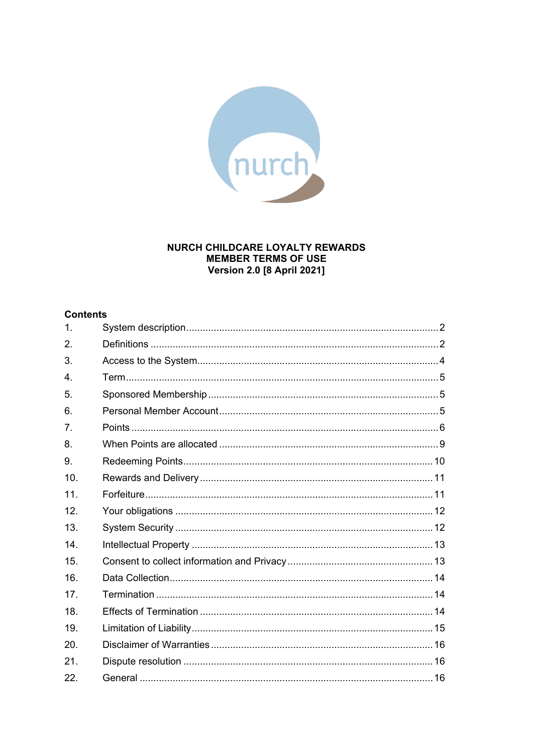

## NURCH CHILDCARE LOYALTY REWARDS **MEMBER TERMS OF USE Version 2.0 [8 April 2021]**

## **Contents**

| 1.             |  |
|----------------|--|
| 2.             |  |
| 3.             |  |
| $\overline{4}$ |  |
| 5.             |  |
| 6.             |  |
| 7.             |  |
| 8.             |  |
| 9.             |  |
| 10.            |  |
| 11.            |  |
| 12.            |  |
| 13.            |  |
| 14.            |  |
| 15.            |  |
| 16.            |  |
| 17.            |  |
| 18.            |  |
| 19.            |  |
| 20.            |  |
| 21.            |  |
| 22.            |  |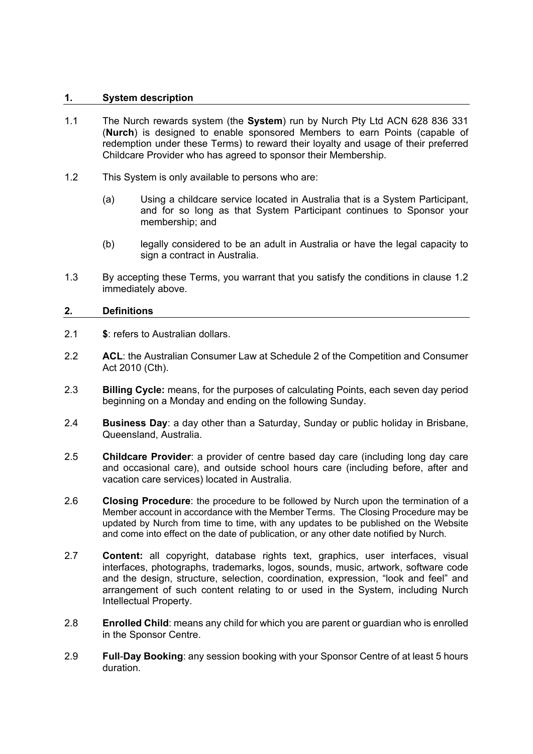## <span id="page-1-0"></span>**1. System description**

- 1.1 The Nurch rewards system (the **System**) run by Nurch Pty Ltd ACN 628 836 331 (**Nurch**) is designed to enable sponsored Members to earn Points (capable of redemption under these Terms) to reward their loyalty and usage of their preferred Childcare Provider who has agreed to sponsor their Membership.
- <span id="page-1-2"></span>1.2 This System is only available to persons who are:
	- (a) Using a childcare service located in Australia that is a System Participant, and for so long as that System Participant continues to Sponsor your membership; and
	- (b) legally considered to be an adult in Australia or have the legal capacity to sign a contract in Australia.
- 1.3 By accepting these Terms, you warrant that you satisfy the conditions in clause [1.2](#page-1-2) immediately above.

## <span id="page-1-1"></span>**2. Definitions**

- 2.1 **\$**: refers to Australian dollars.
- 2.2 **ACL**: the Australian Consumer Law at Schedule 2 of the Competition and Consumer Act 2010 (Cth).
- 2.3 **Billing Cycle:** means, for the purposes of calculating Points, each seven day period beginning on a Monday and ending on the following Sunday.
- 2.4 **Business Day**: a day other than a Saturday, Sunday or public holiday in Brisbane, Queensland, Australia.
- 2.5 **Childcare Provider**: a provider of centre based day care (including long day care and occasional care), and outside school hours care (including before, after and vacation care services) located in Australia.
- 2.6 **Closing Procedure**: the procedure to be followed by Nurch upon the termination of a Member account in accordance with the Member Terms. The Closing Procedure may be updated by Nurch from time to time, with any updates to be published on the Website and come into effect on the date of publication, or any other date notified by Nurch.
- 2.7 **Content:** all copyright, database rights text, graphics, user interfaces, visual interfaces, photographs, trademarks, logos, sounds, music, artwork, software code and the design, structure, selection, coordination, expression, "look and feel" and arrangement of such content relating to or used in the System, including Nurch Intellectual Property.
- 2.8 **Enrolled Child**: means any child for which you are parent or guardian who is enrolled in the Sponsor Centre.
- 2.9 **Full**-**Day Booking**: any session booking with your Sponsor Centre of at least 5 hours duration.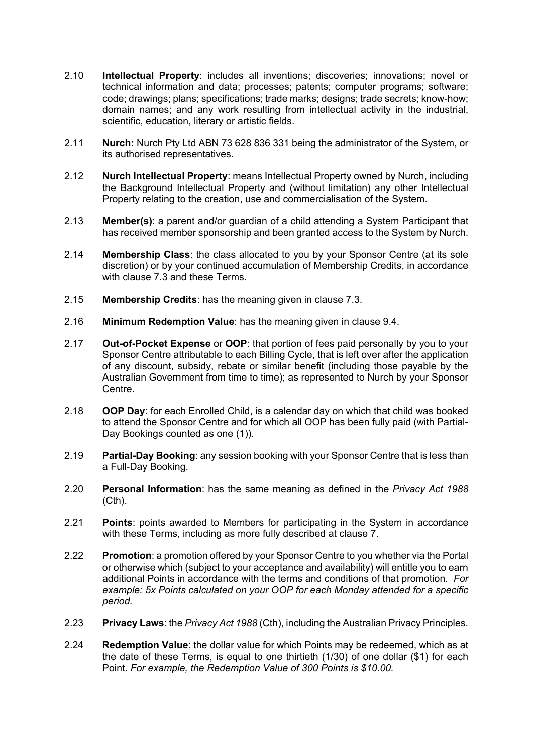- 2.10 **Intellectual Property**: includes all inventions; discoveries; innovations; novel or technical information and data; processes; patents; computer programs; software; code; drawings; plans; specifications; trade marks; designs; trade secrets; know-how; domain names; and any work resulting from intellectual activity in the industrial, scientific, education, literary or artistic fields.
- 2.11 **Nurch:** Nurch Pty Ltd ABN 73 628 836 331 being the administrator of the System, or its authorised representatives.
- 2.12 **Nurch Intellectual Property**: means Intellectual Property owned by Nurch, including the Background Intellectual Property and (without limitation) any other Intellectual Property relating to the creation, use and commercialisation of the System.
- 2.13 **Member(s)**: a parent and/or guardian of a child attending a System Participant that has received member sponsorship and been granted access to the System by Nurch.
- 2.14 **Membership Class**: the class allocated to you by your Sponsor Centre (at its sole discretion) or by your continued accumulation of Membership Credits, in accordance with clause [7.3](#page-6-0) and these Terms.
- 2.15 **Membership Credits**: has the meaning given in clause [7.3.](#page-6-0)
- 2.16 **Minimum Redemption Value**: has the meaning given in clause [9.4.](#page-9-1)
- 2.17 **Out-of-Pocket Expense** or **OOP**: that portion of fees paid personally by you to your Sponsor Centre attributable to each Billing Cycle, that is left over after the application of any discount, subsidy, rebate or similar benefit (including those payable by the Australian Government from time to time); as represented to Nurch by your Sponsor **Centre**
- 2.18 **OOP Day**: for each Enrolled Child, is a calendar day on which that child was booked to attend the Sponsor Centre and for which all OOP has been fully paid (with Partial-Day Bookings counted as one (1)).
- 2.19 **Partial-Day Booking**: any session booking with your Sponsor Centre that is less than a Full-Day Booking.
- 2.20 **Personal Information**: has the same meaning as defined in the *Privacy Act 1988* (Cth).
- 2.21 **Points**: points awarded to Members for participating in the System in accordance with these Terms, including as more fully described at clause [7.](#page-5-0)
- 2.22 **Promotion**: a promotion offered by your Sponsor Centre to you whether via the Portal or otherwise which (subject to your acceptance and availability) will entitle you to earn additional Points in accordance with the terms and conditions of that promotion. *For example: 5x Points calculated on your OOP for each Monday attended for a specific period.*
- 2.23 **Privacy Laws**: the *Privacy Act 1988* (Cth), including the Australian Privacy Principles.
- 2.24 **Redemption Value**: the dollar value for which Points may be redeemed, which as at the date of these Terms, is equal to one thirtieth (1/30) of one dollar (\$1) for each Point. *For example, the Redemption Value of 300 Points is \$10.00.*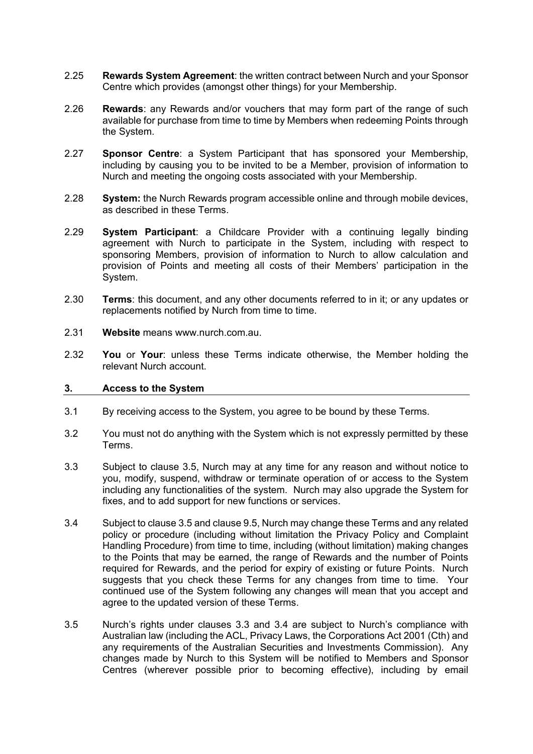- 2.25 **Rewards System Agreement**: the written contract between Nurch and your Sponsor Centre which provides (amongst other things) for your Membership.
- 2.26 **Rewards**: any Rewards and/or vouchers that may form part of the range of such available for purchase from time to time by Members when redeeming Points through the System.
- 2.27 **Sponsor Centre**: a System Participant that has sponsored your Membership, including by causing you to be invited to be a Member, provision of information to Nurch and meeting the ongoing costs associated with your Membership.
- 2.28 **System:** the Nurch Rewards program accessible online and through mobile devices, as described in these Terms.
- 2.29 **System Participant**: a Childcare Provider with a continuing legally binding agreement with Nurch to participate in the System, including with respect to sponsoring Members, provision of information to Nurch to allow calculation and provision of Points and meeting all costs of their Members' participation in the System.
- 2.30 **Terms**: this document, and any other documents referred to in it; or any updates or replacements notified by Nurch from time to time.
- 2.31 **Website** means www.nurch.com.au.
- 2.32 **You** or **Your**: unless these Terms indicate otherwise, the Member holding the relevant Nurch account.

#### <span id="page-3-0"></span>**3. Access to the System**

- 3.1 By receiving access to the System, you agree to be bound by these Terms.
- 3.2 You must not do anything with the System which is not expressly permitted by these Terms.
- <span id="page-3-2"></span>3.3 Subject to clause [3.5,](#page-3-1) Nurch may at any time for any reason and without notice to you, modify, suspend, withdraw or terminate operation of or access to the System including any functionalities of the system. Nurch may also upgrade the System for fixes, and to add support for new functions or services.
- <span id="page-3-3"></span>3.4 Subject to clause [3.5](#page-3-1) and clause [9.5,](#page-9-2) Nurch may change these Terms and any related policy or procedure (including without limitation the Privacy Policy and Complaint Handling Procedure) from time to time, including (without limitation) making changes to the Points that may be earned, the range of Rewards and the number of Points required for Rewards, and the period for expiry of existing or future Points. Nurch suggests that you check these Terms for any changes from time to time. Your continued use of the System following any changes will mean that you accept and agree to the updated version of these Terms.
- <span id="page-3-1"></span>3.5 Nurch's rights under clauses [3.3](#page-3-2) and [3.4](#page-3-3) are subject to Nurch's compliance with Australian law (including the ACL, Privacy Laws, the Corporations Act 2001 (Cth) and any requirements of the Australian Securities and Investments Commission). Any changes made by Nurch to this System will be notified to Members and Sponsor Centres (wherever possible prior to becoming effective), including by email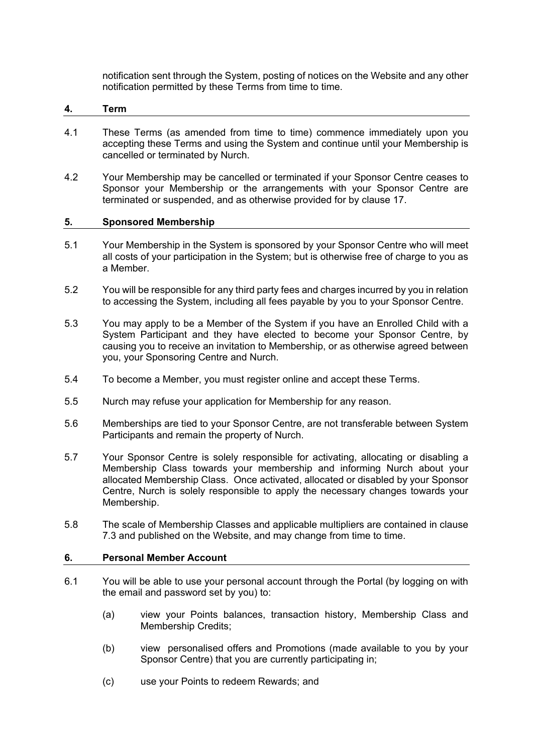notification sent through the System, posting of notices on the Website and any other notification permitted by these Terms from time to time.

#### <span id="page-4-0"></span>**4. Term**

- 4.1 These Terms (as amended from time to time) commence immediately upon you accepting these Terms and using the System and continue until your Membership is cancelled or terminated by Nurch.
- 4.2 Your Membership may be cancelled or terminated if your Sponsor Centre ceases to Sponsor your Membership or the arrangements with your Sponsor Centre are terminated or suspended, and as otherwise provided for by clause [17.](#page-13-1)

#### <span id="page-4-1"></span>**5. Sponsored Membership**

- 5.1 Your Membership in the System is sponsored by your Sponsor Centre who will meet all costs of your participation in the System; but is otherwise free of charge to you as a Member.
- 5.2 You will be responsible for any third party fees and charges incurred by you in relation to accessing the System, including all fees payable by you to your Sponsor Centre.
- 5.3 You may apply to be a Member of the System if you have an Enrolled Child with a System Participant and they have elected to become your Sponsor Centre, by causing you to receive an invitation to Membership, or as otherwise agreed between you, your Sponsoring Centre and Nurch.
- 5.4 To become a Member, you must register online and accept these Terms.
- 5.5 Nurch may refuse your application for Membership for any reason.
- 5.6 Memberships are tied to your Sponsor Centre, are not transferable between System Participants and remain the property of Nurch.
- 5.7 Your Sponsor Centre is solely responsible for activating, allocating or disabling a Membership Class towards your membership and informing Nurch about your allocated Membership Class. Once activated, allocated or disabled by your Sponsor Centre, Nurch is solely responsible to apply the necessary changes towards your Membership.
- 5.8 The scale of Membership Classes and applicable multipliers are contained in clause [7.3](#page-6-0) and published on the Website, and may change from time to time.

#### <span id="page-4-2"></span>**6. Personal Member Account**

- 6.1 You will be able to use your personal account through the Portal (by logging on with the email and password set by you) to:
	- (a) view your Points balances, transaction history, Membership Class and Membership Credits;
	- (b) view personalised offers and Promotions (made available to you by your Sponsor Centre) that you are currently participating in;
	- (c) use your Points to redeem Rewards; and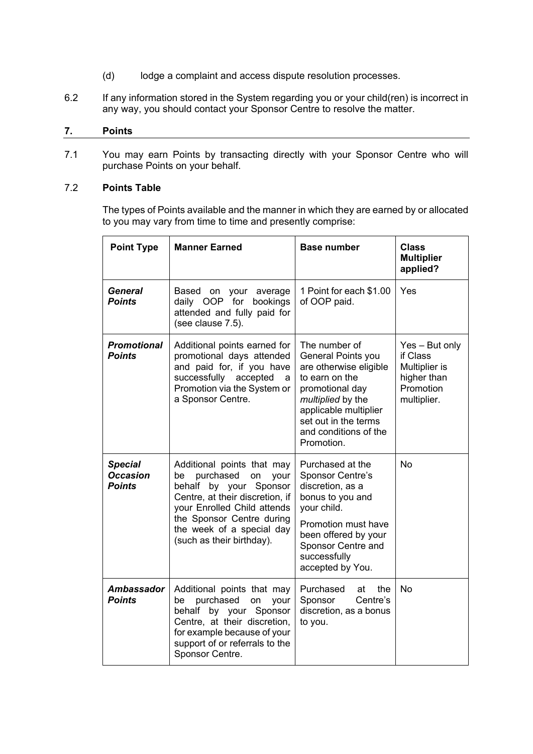- (d) lodge a complaint and access dispute resolution processes.
- 6.2 If any information stored in the System regarding you or your child(ren) is incorrect in any way, you should contact your Sponsor Centre to resolve the matter.

## <span id="page-5-0"></span>**7. Points**

7.1 You may earn Points by transacting directly with your Sponsor Centre who will purchase Points on your behalf.

# <span id="page-5-1"></span>7.2 **Points Table**

The types of Points available and the manner in which they are earned by or allocated to you may vary from time to time and presently comprise:

| <b>Point Type</b>                                                                                                                                                                                                                                                                                    | <b>Manner Earned</b>                                                                                                                                                                                         | <b>Base number</b>                                                                                                                                                                                                     | <b>Class</b><br><b>Multiplier</b><br>applied?                                            |
|------------------------------------------------------------------------------------------------------------------------------------------------------------------------------------------------------------------------------------------------------------------------------------------------------|--------------------------------------------------------------------------------------------------------------------------------------------------------------------------------------------------------------|------------------------------------------------------------------------------------------------------------------------------------------------------------------------------------------------------------------------|------------------------------------------------------------------------------------------|
| General<br><b>Points</b>                                                                                                                                                                                                                                                                             | Based on<br>your average<br>daily OOP for<br>bookings<br>attended and fully paid for<br>(see clause 7.5).                                                                                                    | 1 Point for each \$1.00<br>of OOP paid.                                                                                                                                                                                | Yes                                                                                      |
| <b>Promotional</b><br>Points                                                                                                                                                                                                                                                                         | Additional points earned for<br>promotional days attended<br>and paid for, if you have<br>successfully accepted<br>a<br>Promotion via the System or<br>a Sponsor Centre.                                     | The number of<br><b>General Points you</b><br>are otherwise eligible<br>to earn on the<br>promotional day<br>multiplied by the<br>applicable multiplier<br>set out in the terms<br>and conditions of the<br>Promotion. | $Yes - But only$<br>if Class<br>Multiplier is<br>higher than<br>Promotion<br>multiplier. |
| <b>Special</b><br>Additional points that may<br><b>Occasion</b><br>purchased<br>on<br>be<br>your<br><b>Points</b><br>behalf by your Sponsor<br>Centre, at their discretion, if<br>your Enrolled Child attends<br>the Sponsor Centre during<br>the week of a special day<br>(such as their birthday). |                                                                                                                                                                                                              | Purchased at the<br>Sponsor Centre's<br>discretion, as a<br>bonus to you and<br>your child.<br>Promotion must have<br>been offered by your<br>Sponsor Centre and<br>successfully<br>accepted by You.                   | <b>No</b>                                                                                |
| Ambassador<br><b>Points</b>                                                                                                                                                                                                                                                                          | Additional points that may<br>purchased<br>be<br>on<br>your<br>behalf by your<br>Sponsor<br>Centre, at their discretion,<br>for example because of your<br>support of or referrals to the<br>Sponsor Centre. | Purchased<br>the<br>at<br>Centre's<br>Sponsor<br>discretion, as a bonus<br>to you.                                                                                                                                     | <b>No</b>                                                                                |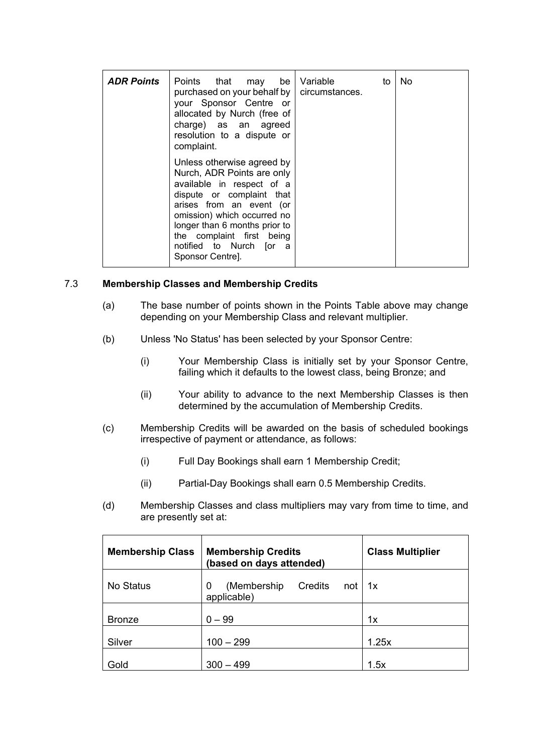| <b>ADR Points</b> | Points that may be<br>purchased on your behalf by   circumstances.<br>your Sponsor Centre or<br>allocated by Nurch (free of<br>charge) as an agreed<br>resolution to a dispute or<br>complaint.                                                                                            | Variable<br>to | <b>No</b> |
|-------------------|--------------------------------------------------------------------------------------------------------------------------------------------------------------------------------------------------------------------------------------------------------------------------------------------|----------------|-----------|
|                   | Unless otherwise agreed by<br>Nurch, ADR Points are only<br>available in respect of a<br>dispute or complaint that<br>arises from an event (or<br>omission) which occurred no<br>longer than 6 months prior to<br>the complaint first being<br>notified to Nurch [or a<br>Sponsor Centre]. |                |           |

## <span id="page-6-0"></span>7.3 **Membership Classes and Membership Credits**

- (a) The base number of points shown in the Points Table above may change depending on your Membership Class and relevant multiplier.
- (b) Unless 'No Status' has been selected by your Sponsor Centre:
	- (i) Your Membership Class is initially set by your Sponsor Centre, failing which it defaults to the lowest class, being Bronze; and
	- (ii) Your ability to advance to the next Membership Classes is then determined by the accumulation of Membership Credits.
- (c) Membership Credits will be awarded on the basis of scheduled bookings irrespective of payment or attendance, as follows:
	- (i) Full Day Bookings shall earn 1 Membership Credit;
	- (ii) Partial-Day Bookings shall earn 0.5 Membership Credits.
- (d) Membership Classes and class multipliers may vary from time to time, and are presently set at:

| <b>Membership Class</b> | <b>Membership Credits</b><br>(based on days attended) | <b>Class Multiplier</b> |
|-------------------------|-------------------------------------------------------|-------------------------|
| No Status               | (Membership)<br>Credits<br>0<br>not<br>applicable)    | 1x                      |
| <b>Bronze</b>           | $0 - 99$                                              | 1x                      |
| Silver                  | $100 - 299$                                           | 1.25x                   |
| Gold                    | $300 - 499$                                           | 1.5x                    |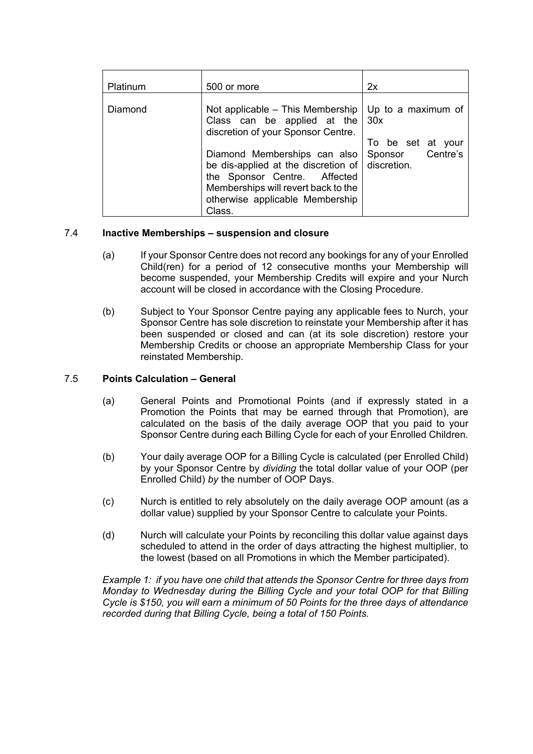| Platinum | 500 or more                                                                                                                                                                                                 | 2x                                             |
|----------|-------------------------------------------------------------------------------------------------------------------------------------------------------------------------------------------------------------|------------------------------------------------|
| Diamond  | Not applicable – This Membership<br>Class can be applied at the<br>discretion of your Sponsor Centre.                                                                                                       | Up to a maximum of<br>30x<br>To be set at your |
|          | Diamond Memberships can also<br>be dis-applied at the discretion of $\vert$ discretion.<br>the Sponsor Centre. Affected<br>Memberships will revert back to the<br>otherwise applicable Membership<br>Class. | Sponsor Centre's                               |

## <span id="page-7-1"></span>7.4 **Inactive Memberships – suspension and closure**

- (a) If your Sponsor Centre does not record any bookings for any of your Enrolled Child(ren) for a period of 12 consecutive months your Membership will become suspended, your Membership Credits will expire and your Nurch account will be closed in accordance with the Closing Procedure.
- (b) Subject to Your Sponsor Centre paying any applicable fees to Nurch, your Sponsor Centre has sole discretion to reinstate your Membership after it has been suspended or closed and can (at its sole discretion) restore your Membership Credits or choose an appropriate Membership Class for your reinstated Membership.

## <span id="page-7-0"></span>7.5 **Points Calculation – General**

- (a) General Points and Promotional Points (and if expressly stated in a Promotion the Points that may be earned through that Promotion), are calculated on the basis of the daily average OOP that you paid to your Sponsor Centre during each Billing Cycle for each of your Enrolled Children.
- (b) Your daily average OOP for a Billing Cycle is calculated (per Enrolled Child) by your Sponsor Centre by *dividing* the total dollar value of your OOP (per Enrolled Child) *by* the number of OOP Days.
- (c) Nurch is entitled to rely absolutely on the daily average OOP amount (as a dollar value) supplied by your Sponsor Centre to calculate your Points.
- (d) Nurch will calculate your Points by reconciling this dollar value against days scheduled to attend in the order of days attracting the highest multiplier, to the lowest (based on all Promotions in which the Member participated).

*Example 1: if you have one child that attends the Sponsor Centre for three days from Monday to Wednesday during the Billing Cycle and your total OOP for that Billing Cycle is \$150, you will earn a minimum of 50 Points for the three days of attendance recorded during that Billing Cycle, being a total of 150 Points.*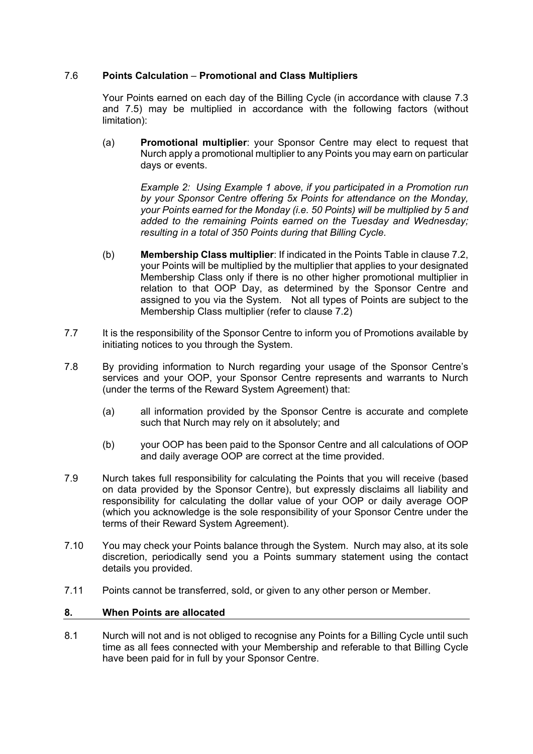# 7.6 **Points Calculation** – **Promotional and Class Multipliers**

Your Points earned on each day of the Billing Cycle (in accordance with clause [7.3](#page-6-0) and [7.5\)](#page-7-0) may be multiplied in accordance with the following factors (without limitation):

(a) **Promotional multiplier**: your Sponsor Centre may elect to request that Nurch apply a promotional multiplier to any Points you may earn on particular days or events.

> *Example 2: Using Example 1 above, if you participated in a Promotion run by your Sponsor Centre offering 5x Points for attendance on the Monday, your Points earned for the Monday (i.e. 50 Points) will be multiplied by 5 and added to the remaining Points earned on the Tuesday and Wednesday; resulting in a total of 350 Points during that Billing Cycle.*

- (b) **Membership Class multiplier**: If indicated in the Points Table in clause [7.2,](#page-5-1) your Points will be multiplied by the multiplier that applies to your designated Membership Class only if there is no other higher promotional multiplier in relation to that OOP Day, as determined by the Sponsor Centre and assigned to you via the System. Not all types of Points are subject to the Membership Class multiplier (refer to clause [7.2\)](#page-5-1)
- 7.7 It is the responsibility of the Sponsor Centre to inform you of Promotions available by initiating notices to you through the System.
- 7.8 By providing information to Nurch regarding your usage of the Sponsor Centre's services and your OOP, your Sponsor Centre represents and warrants to Nurch (under the terms of the Reward System Agreement) that:
	- (a) all information provided by the Sponsor Centre is accurate and complete such that Nurch may rely on it absolutely; and
	- (b) your OOP has been paid to the Sponsor Centre and all calculations of OOP and daily average OOP are correct at the time provided.
- 7.9 Nurch takes full responsibility for calculating the Points that you will receive (based on data provided by the Sponsor Centre), but expressly disclaims all liability and responsibility for calculating the dollar value of your OOP or daily average OOP (which you acknowledge is the sole responsibility of your Sponsor Centre under the terms of their Reward System Agreement).
- 7.10 You may check your Points balance through the System. Nurch may also, at its sole discretion, periodically send you a Points summary statement using the contact details you provided.
- <span id="page-8-0"></span>7.11 Points cannot be transferred, sold, or given to any other person or Member.

# **8. When Points are allocated**

8.1 Nurch will not and is not obliged to recognise any Points for a Billing Cycle until such time as all fees connected with your Membership and referable to that Billing Cycle have been paid for in full by your Sponsor Centre.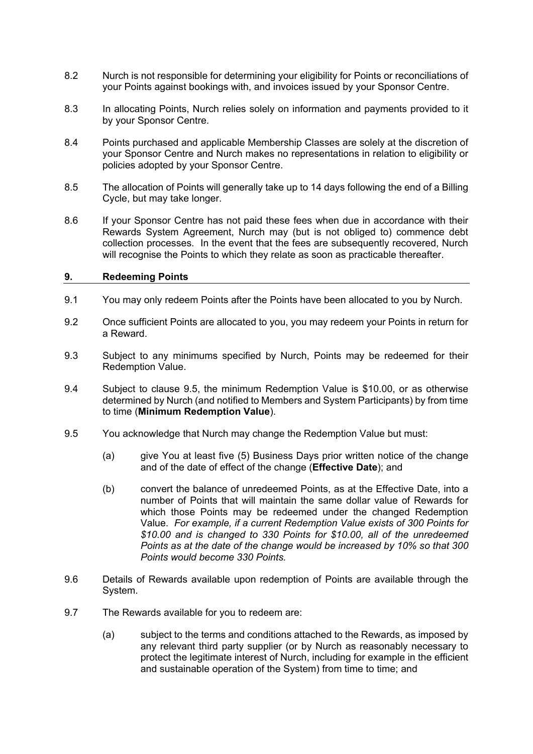- 8.2 Nurch is not responsible for determining your eligibility for Points or reconciliations of your Points against bookings with, and invoices issued by your Sponsor Centre.
- 8.3 In allocating Points, Nurch relies solely on information and payments provided to it by your Sponsor Centre.
- 8.4 Points purchased and applicable Membership Classes are solely at the discretion of your Sponsor Centre and Nurch makes no representations in relation to eligibility or policies adopted by your Sponsor Centre.
- 8.5 The allocation of Points will generally take up to 14 days following the end of a Billing Cycle, but may take longer.
- <span id="page-9-3"></span>8.6 If your Sponsor Centre has not paid these fees when due in accordance with their Rewards System Agreement, Nurch may (but is not obliged to) commence debt collection processes. In the event that the fees are subsequently recovered, Nurch will recognise the Points to which they relate as soon as practicable thereafter.

## <span id="page-9-0"></span>**9. Redeeming Points**

- 9.1 You may only redeem Points after the Points have been allocated to you by Nurch.
- 9.2 Once sufficient Points are allocated to you, you may redeem your Points in return for a Reward.
- 9.3 Subject to any minimums specified by Nurch, Points may be redeemed for their Redemption Value.
- <span id="page-9-1"></span>9.4 Subject to clause [9.5,](#page-9-2) the minimum Redemption Value is \$10.00, or as otherwise determined by Nurch (and notified to Members and System Participants) by from time to time (**Minimum Redemption Value**).
- <span id="page-9-2"></span>9.5 You acknowledge that Nurch may change the Redemption Value but must:
	- (a) give You at least five (5) Business Days prior written notice of the change and of the date of effect of the change (**Effective Date**); and
	- (b) convert the balance of unredeemed Points, as at the Effective Date, into a number of Points that will maintain the same dollar value of Rewards for which those Points may be redeemed under the changed Redemption Value. *For example, if a current Redemption Value exists of 300 Points for \$10.00 and is changed to 330 Points for \$10.00, all of the unredeemed Points as at the date of the change would be increased by 10% so that 300 Points would become 330 Points.*
- 9.6 Details of Rewards available upon redemption of Points are available through the System.
- 9.7 The Rewards available for you to redeem are:
	- (a) subject to the terms and conditions attached to the Rewards, as imposed by any relevant third party supplier (or by Nurch as reasonably necessary to protect the legitimate interest of Nurch, including for example in the efficient and sustainable operation of the System) from time to time; and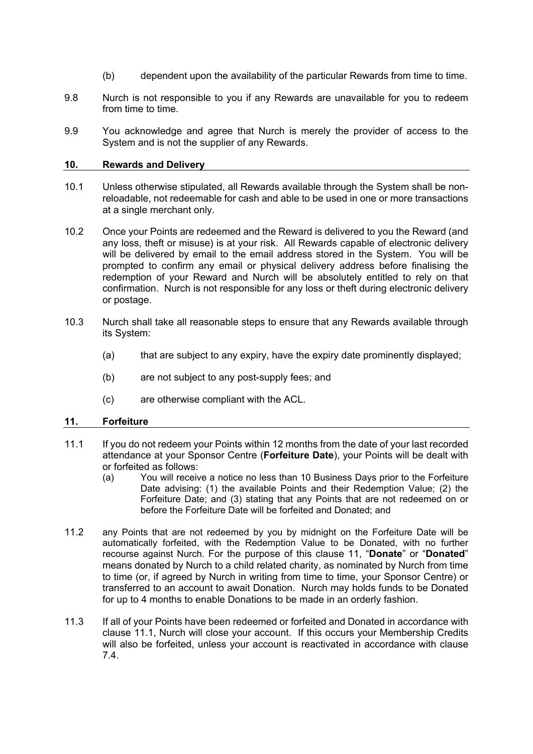- (b) dependent upon the availability of the particular Rewards from time to time.
- 9.8 Nurch is not responsible to you if any Rewards are unavailable for you to redeem from time to time.
- 9.9 You acknowledge and agree that Nurch is merely the provider of access to the System and is not the supplier of any Rewards.

#### <span id="page-10-0"></span>**10. Rewards and Delivery**

- 10.1 Unless otherwise stipulated, all Rewards available through the System shall be nonreloadable, not redeemable for cash and able to be used in one or more transactions at a single merchant only.
- 10.2 Once your Points are redeemed and the Reward is delivered to you the Reward (and any loss, theft or misuse) is at your risk. All Rewards capable of electronic delivery will be delivered by email to the email address stored in the System. You will be prompted to confirm any email or physical delivery address before finalising the redemption of your Reward and Nurch will be absolutely entitled to rely on that confirmation. Nurch is not responsible for any loss or theft during electronic delivery or postage.
- 10.3 Nurch shall take all reasonable steps to ensure that any Rewards available through its System:
	- (a) that are subject to any expiry, have the expiry date prominently displayed;
	- (b) are not subject to any post-supply fees; and
	- (c) are otherwise compliant with the ACL.

## <span id="page-10-2"></span><span id="page-10-1"></span>**11. Forfeiture**

- 11.1 If you do not redeem your Points within 12 months from the date of your last recorded attendance at your Sponsor Centre (**Forfeiture Date**), your Points will be dealt with or forfeited as follows:
	- (a) You will receive a notice no less than 10 Business Days prior to the Forfeiture Date advising: (1) the available Points and their Redemption Value; (2) the Forfeiture Date; and (3) stating that any Points that are not redeemed on or before the Forfeiture Date will be forfeited and Donated; and
- 11.2 any Points that are not redeemed by you by midnight on the Forfeiture Date will be automatically forfeited, with the Redemption Value to be Donated, with no further recourse against Nurch. For the purpose of this clause [11,](#page-10-1) "**Donate**" or "**Donated**" means donated by Nurch to a child related charity, as nominated by Nurch from time to time (or, if agreed by Nurch in writing from time to time, your Sponsor Centre) or transferred to an account to await Donation. Nurch may holds funds to be Donated for up to 4 months to enable Donations to be made in an orderly fashion.
- 11.3 If all of your Points have been redeemed or forfeited and Donated in accordance with clause [11.1,](#page-10-2) Nurch will close your account. If this occurs your Membership Credits will also be forfeited, unless your account is reactivated in accordance with clause [7.4.](#page-7-1)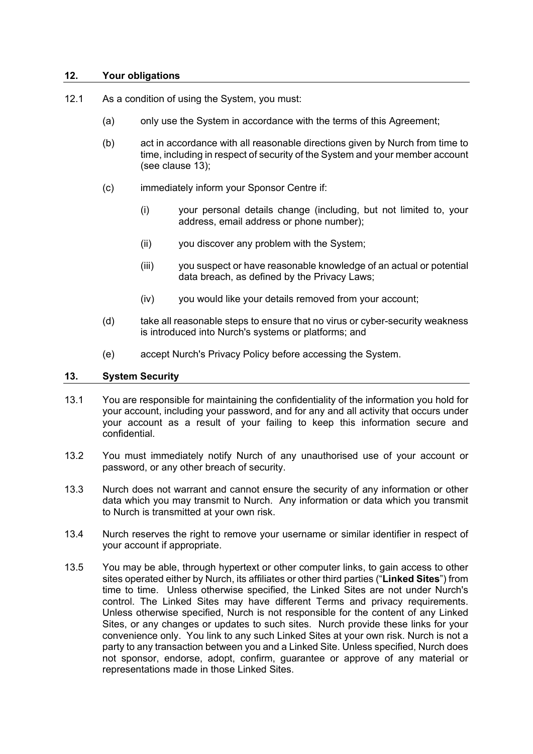### <span id="page-11-0"></span>**12. Your obligations**

- 12.1 As a condition of using the System, you must:
	- (a) only use the System in accordance with the terms of this Agreement;
	- (b) act in accordance with all reasonable directions given by Nurch from time to time, including in respect of security of the System and your member account (see clause [13\)](#page-11-1);
	- (c) immediately inform your Sponsor Centre if:
		- (i) your personal details change (including, but not limited to, your address, email address or phone number);
		- (ii) you discover any problem with the System;
		- (iii) you suspect or have reasonable knowledge of an actual or potential data breach, as defined by the Privacy Laws;
		- (iv) you would like your details removed from your account;
	- (d) take all reasonable steps to ensure that no virus or cyber-security weakness is introduced into Nurch's systems or platforms; and
	- (e) accept Nurch's Privacy Policy before accessing the System.

## <span id="page-11-1"></span>**13. System Security**

- 13.1 You are responsible for maintaining the confidentiality of the information you hold for your account, including your password, and for any and all activity that occurs under your account as a result of your failing to keep this information secure and confidential.
- 13.2 You must immediately notify Nurch of any unauthorised use of your account or password, or any other breach of security.
- 13.3 Nurch does not warrant and cannot ensure the security of any information or other data which you may transmit to Nurch. Any information or data which you transmit to Nurch is transmitted at your own risk.
- 13.4 Nurch reserves the right to remove your username or similar identifier in respect of your account if appropriate.
- 13.5 You may be able, through hypertext or other computer links, to gain access to other sites operated either by Nurch, its affiliates or other third parties ("**Linked Sites**") from time to time. Unless otherwise specified, the Linked Sites are not under Nurch's control. The Linked Sites may have different Terms and privacy requirements. Unless otherwise specified, Nurch is not responsible for the content of any Linked Sites, or any changes or updates to such sites. Nurch provide these links for your convenience only. You link to any such Linked Sites at your own risk. Nurch is not a party to any transaction between you and a Linked Site. Unless specified, Nurch does not sponsor, endorse, adopt, confirm, guarantee or approve of any material or representations made in those Linked Sites.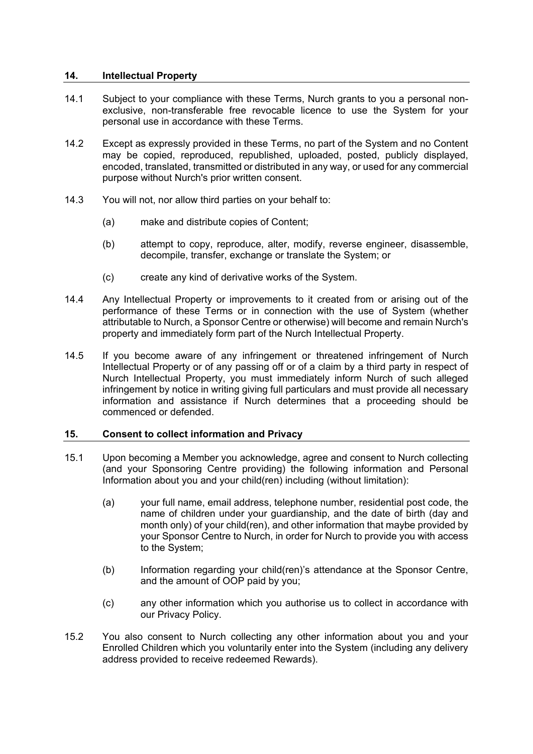## <span id="page-12-0"></span>**14. Intellectual Property**

- 14.1 Subject to your compliance with these Terms, Nurch grants to you a personal nonexclusive, non-transferable free revocable licence to use the System for your personal use in accordance with these Terms.
- 14.2 Except as expressly provided in these Terms, no part of the System and no Content may be copied, reproduced, republished, uploaded, posted, publicly displayed, encoded, translated, transmitted or distributed in any way, or used for any commercial purpose without Nurch's prior written consent.
- 14.3 You will not, nor allow third parties on your behalf to:
	- (a) make and distribute copies of Content;
	- (b) attempt to copy, reproduce, alter, modify, reverse engineer, disassemble, decompile, transfer, exchange or translate the System; or
	- (c) create any kind of derivative works of the System.
- 14.4 Any Intellectual Property or improvements to it created from or arising out of the performance of these Terms or in connection with the use of System (whether attributable to Nurch, a Sponsor Centre or otherwise) will become and remain Nurch's property and immediately form part of the Nurch Intellectual Property.
- 14.5 If you become aware of any infringement or threatened infringement of Nurch Intellectual Property or of any passing off or of a claim by a third party in respect of Nurch Intellectual Property, you must immediately inform Nurch of such alleged infringement by notice in writing giving full particulars and must provide all necessary information and assistance if Nurch determines that a proceeding should be commenced or defended.

## <span id="page-12-1"></span>**15. Consent to collect information and Privacy**

- 15.1 Upon becoming a Member you acknowledge, agree and consent to Nurch collecting (and your Sponsoring Centre providing) the following information and Personal Information about you and your child(ren) including (without limitation):
	- (a) your full name, email address, telephone number, residential post code, the name of children under your guardianship, and the date of birth (day and month only) of your child(ren), and other information that maybe provided by your Sponsor Centre to Nurch, in order for Nurch to provide you with access to the System;
	- (b) Information regarding your child(ren)'s attendance at the Sponsor Centre, and the amount of OOP paid by you;
	- (c) any other information which you authorise us to collect in accordance with our Privacy Policy.
- 15.2 You also consent to Nurch collecting any other information about you and your Enrolled Children which you voluntarily enter into the System (including any delivery address provided to receive redeemed Rewards).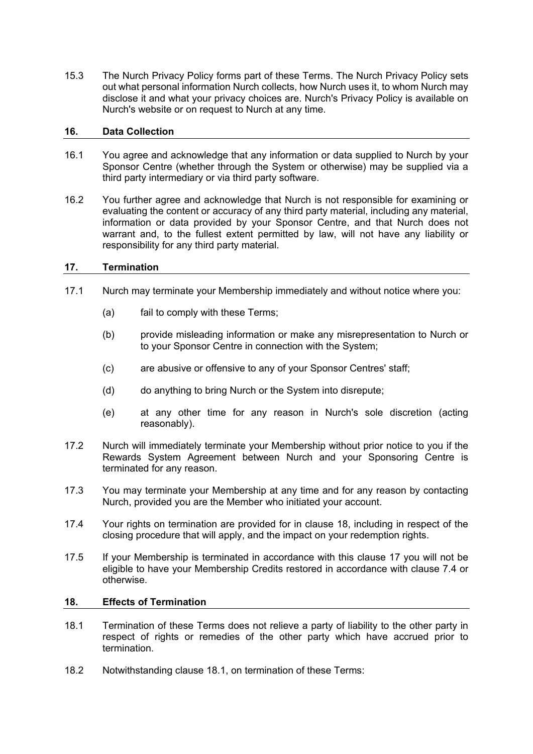15.3 The Nurch Privacy Policy forms part of these Terms. The Nurch Privacy Policy sets out what personal information Nurch collects, how Nurch uses it, to whom Nurch may disclose it and what your privacy choices are. Nurch's Privacy Policy is available on Nurch's website or on request to Nurch at any time.

### <span id="page-13-0"></span>**16. Data Collection**

- 16.1 You agree and acknowledge that any information or data supplied to Nurch by your Sponsor Centre (whether through the System or otherwise) may be supplied via a third party intermediary or via third party software.
- 16.2 You further agree and acknowledge that Nurch is not responsible for examining or evaluating the content or accuracy of any third party material, including any material, information or data provided by your Sponsor Centre, and that Nurch does not warrant and, to the fullest extent permitted by law, will not have any liability or responsibility for any third party material.

## <span id="page-13-1"></span>**17. Termination**

- 17.1 Nurch may terminate your Membership immediately and without notice where you:
	- (a) fail to comply with these Terms;
	- (b) provide misleading information or make any misrepresentation to Nurch or to your Sponsor Centre in connection with the System;
	- (c) are abusive or offensive to any of your Sponsor Centres' staff;
	- (d) do anything to bring Nurch or the System into disrepute:
	- (e) at any other time for any reason in Nurch's sole discretion (acting reasonably).
- 17.2 Nurch will immediately terminate your Membership without prior notice to you if the Rewards System Agreement between Nurch and your Sponsoring Centre is terminated for any reason.
- 17.3 You may terminate your Membership at any time and for any reason by contacting Nurch, provided you are the Member who initiated your account.
- <span id="page-13-4"></span>17.4 Your rights on termination are provided for in clause [18,](#page-13-2) including in respect of the closing procedure that will apply, and the impact on your redemption rights.
- 17.5 If your Membership is terminated in accordance with this clause [17](#page-13-1) you will not be eligible to have your Membership Credits restored in accordance with clause [7.4](#page-7-1) or otherwise.

### <span id="page-13-3"></span><span id="page-13-2"></span>**18. Effects of Termination**

- 18.1 Termination of these Terms does not relieve a party of liability to the other party in respect of rights or remedies of the other party which have accrued prior to termination.
- 18.2 Notwithstanding clause [18.1,](#page-13-3) on termination of these Terms: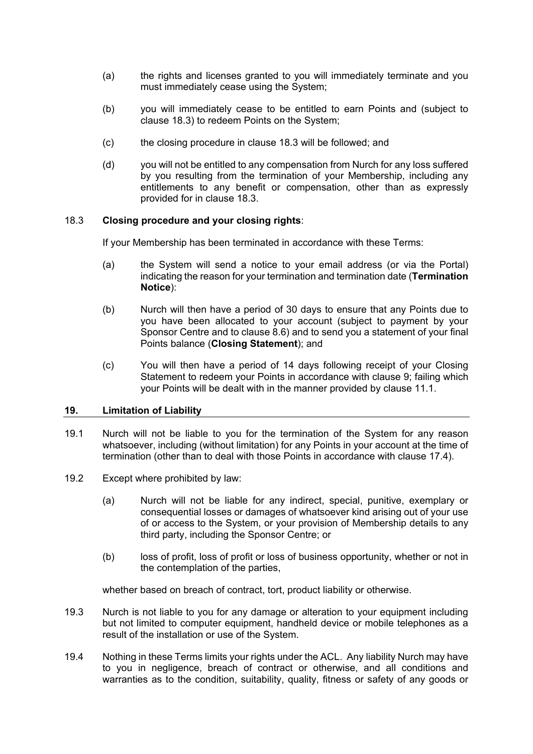- (a) the rights and licenses granted to you will immediately terminate and you must immediately cease using the System;
- (b) you will immediately cease to be entitled to earn Points and (subject to clause [18.3\)](#page-14-1) to redeem Points on the System;
- (c) the closing procedure in clause [18.3](#page-14-1) will be followed; and
- (d) you will not be entitled to any compensation from Nurch for any loss suffered by you resulting from the termination of your Membership, including any entitlements to any benefit or compensation, other than as expressly provided for in clause [18.3.](#page-14-1)

## <span id="page-14-1"></span>18.3 **Closing procedure and your closing rights**:

If your Membership has been terminated in accordance with these Terms:

- (a) the System will send a notice to your email address (or via the Portal) indicating the reason for your termination and termination date (**Termination Notice**):
- (b) Nurch will then have a period of 30 days to ensure that any Points due to you have been allocated to your account (subject to payment by your Sponsor Centre and to clause [8.6\)](#page-9-3) and to send you a statement of your final Points balance (**Closing Statement**); and
- (c) You will then have a period of 14 days following receipt of your Closing Statement to redeem your Points in accordance with clause [9;](#page-9-0) failing which your Points will be dealt with in the manner provided by clause [11.1.](#page-10-2)

#### <span id="page-14-0"></span>**19. Limitation of Liability**

- 19.1 Nurch will not be liable to you for the termination of the System for any reason whatsoever, including (without limitation) for any Points in your account at the time of termination (other than to deal with those Points in accordance with clause [17.4\)](#page-13-4).
- 19.2 Except where prohibited by law:
	- (a) Nurch will not be liable for any indirect, special, punitive, exemplary or consequential losses or damages of whatsoever kind arising out of your use of or access to the System, or your provision of Membership details to any third party, including the Sponsor Centre; or
	- (b) loss of profit, loss of profit or loss of business opportunity, whether or not in the contemplation of the parties,

whether based on breach of contract, tort, product liability or otherwise.

- 19.3 Nurch is not liable to you for any damage or alteration to your equipment including but not limited to computer equipment, handheld device or mobile telephones as a result of the installation or use of the System.
- 19.4 Nothing in these Terms limits your rights under the ACL. Any liability Nurch may have to you in negligence, breach of contract or otherwise, and all conditions and warranties as to the condition, suitability, quality, fitness or safety of any goods or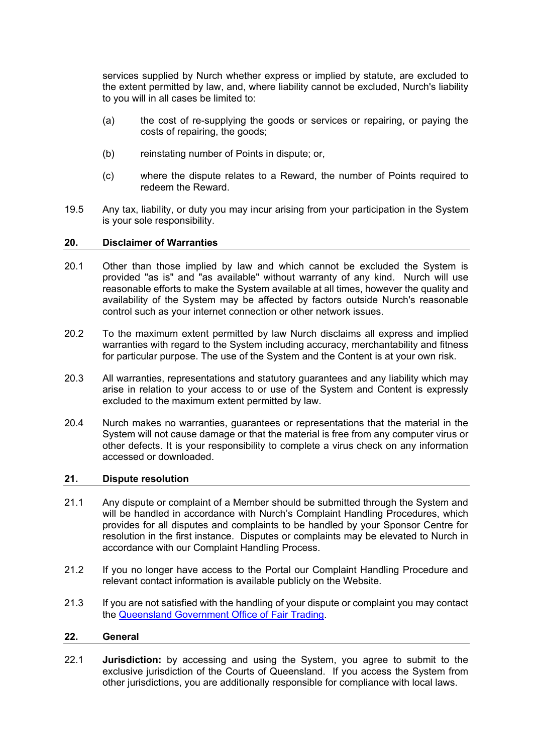services supplied by Nurch whether express or implied by statute, are excluded to the extent permitted by law, and, where liability cannot be excluded, Nurch's liability to you will in all cases be limited to:

- (a) the cost of re-supplying the goods or services or repairing, or paying the costs of repairing, the goods;
- (b) reinstating number of Points in dispute; or,
- (c) where the dispute relates to a Reward, the number of Points required to redeem the Reward.
- 19.5 Any tax, liability, or duty you may incur arising from your participation in the System is your sole responsibility.

#### <span id="page-15-0"></span>**20. Disclaimer of Warranties**

- 20.1 Other than those implied by law and which cannot be excluded the System is provided "as is" and "as available" without warranty of any kind. Nurch will use reasonable efforts to make the System available at all times, however the quality and availability of the System may be affected by factors outside Nurch's reasonable control such as your internet connection or other network issues.
- 20.2 To the maximum extent permitted by law Nurch disclaims all express and implied warranties with regard to the System including accuracy, merchantability and fitness for particular purpose. The use of the System and the Content is at your own risk.
- 20.3 All warranties, representations and statutory guarantees and any liability which may arise in relation to your access to or use of the System and Content is expressly excluded to the maximum extent permitted by law.
- 20.4 Nurch makes no warranties, guarantees or representations that the material in the System will not cause damage or that the material is free from any computer virus or other defects. It is your responsibility to complete a virus check on any information accessed or downloaded.

#### <span id="page-15-1"></span>**21. Dispute resolution**

- 21.1 Any dispute or complaint of a Member should be submitted through the System and will be handled in accordance with Nurch's Complaint Handling Procedures, which provides for all disputes and complaints to be handled by your Sponsor Centre for resolution in the first instance. Disputes or complaints may be elevated to Nurch in accordance with our Complaint Handling Process.
- 21.2 If you no longer have access to the Portal our Complaint Handling Procedure and relevant contact information is available publicly on the Website.
- 21.3 If you are not satisfied with the handling of your dispute or complaint you may contact the [Queensland Government Office of Fair Trading.](https://www.qld.gov.au/law/your-rights/consumer-rights-complaints-and-scams/make-a-consumer-complaint)

#### <span id="page-15-2"></span>**22. General**

22.1 **Jurisdiction:** by accessing and using the System, you agree to submit to the exclusive jurisdiction of the Courts of Queensland. If you access the System from other jurisdictions, you are additionally responsible for compliance with local laws.